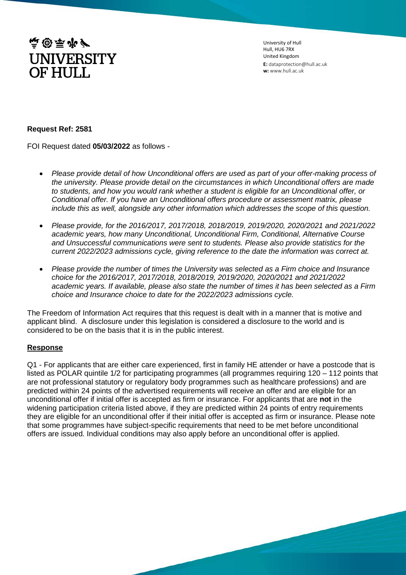

University of Hull Hull, HU6 7RX United Kingdom **E:** dataprotection@hull.ac.uk **w:** www.hull.ac.uk

## **Request Ref: 2581**

FOI Request dated **05/03/2022** as follows -

- *Please provide detail of how Unconditional offers are used as part of your offer-making process of the university. Please provide detail on the circumstances in which Unconditional offers are made to students, and how you would rank whether a student is eligible for an Unconditional offer, or Conditional offer. If you have an Unconditional offers procedure or assessment matrix, please include this as well, alongside any other information which addresses the scope of this question.*
- *Please provide, for the 2016/2017, 2017/2018, 2018/2019, 2019/2020, 2020/2021 and 2021/2022 academic years, how many Unconditional, Unconditional Firm, Conditional, Alternative Course and Unsuccessful communications were sent to students. Please also provide statistics for the current 2022/2023 admissions cycle, giving reference to the date the information was correct at.*
- *Please provide the number of times the University was selected as a Firm choice and Insurance choice for the 2016/2017, 2017/2018, 2018/2019, 2019/2020, 2020/2021 and 2021/2022 academic years. If available, please also state the number of times it has been selected as a Firm choice and Insurance choice to date for the 2022/2023 admissions cycle.*

The Freedom of Information Act requires that this request is dealt with in a manner that is motive and applicant blind. A disclosure under this legislation is considered a disclosure to the world and is considered to be on the basis that it is in the public interest.

## **Response**

Q1 - For applicants that are either care experienced, first in family HE attender or have a postcode that is listed as POLAR quintile 1/2 for participating programmes (all programmes requiring 120 – 112 points that are not professional statutory or regulatory body programmes such as healthcare professions) and are predicted within 24 points of the advertised requirements will receive an offer and are eligible for an unconditional offer if initial offer is accepted as firm or insurance. For applicants that are **not** in the widening participation criteria listed above, if they are predicted within 24 points of entry requirements they are eligible for an unconditional offer if their initial offer is accepted as firm or insurance. Please note that some programmes have subject-specific requirements that need to be met before unconditional offers are issued. Individual conditions may also apply before an unconditional offer is applied.